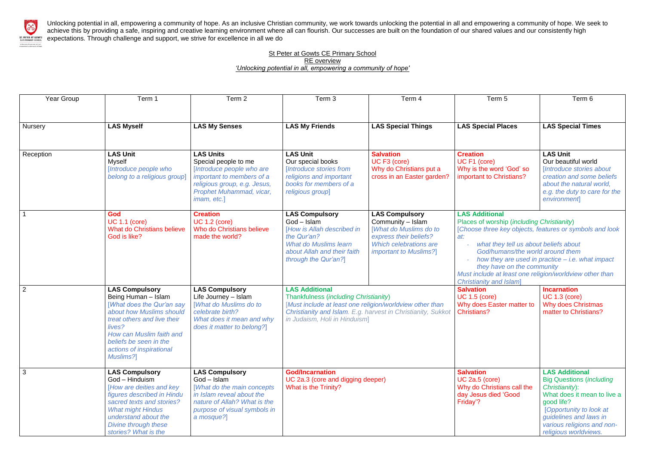

Unlocking potential in all, empowering a community of hope. As an inclusive Christian community, we work towards unlocking the potential in all and empowering a community of hope. We seek to achieve this by providing a safe, inspiring and creative learning environment where all can flourish. Our successes are built on the foundation of our shared values and our consistently high EXPETER AT GOWTS EXPECTATIONS. Through challenge and support, we strive for excellence in all we do

### **St Peter at Gowts CE Primary School** RE overview *'Unlocking potential in all, empowering a community of hope'*

| Year Group     | Term 1                                                                                                                                                                                                                                       | Term <sub>2</sub>                                                                                                                                                                | Term 3                                                                                                                                                                                                                      | Term 4                                                                                                                                                          | Term 5                                                                                                                                                                                                                                                                                                                                                                                              | Term 6                                                                                                                                                                                                                              |
|----------------|----------------------------------------------------------------------------------------------------------------------------------------------------------------------------------------------------------------------------------------------|----------------------------------------------------------------------------------------------------------------------------------------------------------------------------------|-----------------------------------------------------------------------------------------------------------------------------------------------------------------------------------------------------------------------------|-----------------------------------------------------------------------------------------------------------------------------------------------------------------|-----------------------------------------------------------------------------------------------------------------------------------------------------------------------------------------------------------------------------------------------------------------------------------------------------------------------------------------------------------------------------------------------------|-------------------------------------------------------------------------------------------------------------------------------------------------------------------------------------------------------------------------------------|
| <b>Nursery</b> | <b>LAS Myself</b>                                                                                                                                                                                                                            | <b>LAS My Senses</b>                                                                                                                                                             | <b>LAS My Friends</b>                                                                                                                                                                                                       | <b>LAS Special Things</b>                                                                                                                                       | <b>LAS Special Places</b>                                                                                                                                                                                                                                                                                                                                                                           | <b>LAS Special Times</b>                                                                                                                                                                                                            |
| Reception      | <b>LAS Unit</b><br><b>Myself</b><br>[Introduce people who<br>belong to a religious group]                                                                                                                                                    | <b>LAS Units</b><br>Special people to me<br>[Introduce people who are<br>important to members of a<br>religious group, e.g. Jesus,<br>Prophet Muhammad, vicar,<br>imam, etc.]    | <b>LAS Unit</b><br>Our special books<br>[Introduce stories from<br>religions and important<br>books for members of a<br>religious group]                                                                                    | <b>Salvation</b><br>UC F3 (core)<br>Why do Christians put a<br>cross in an Easter garden?                                                                       | <b>Creation</b><br>UC F1 (core)<br>Why is the word 'God' so<br>important to Christians?                                                                                                                                                                                                                                                                                                             | <b>LAS Unit</b><br>Our beautiful world<br>[Introduce stories about<br>creation and some beliefs<br>about the natural world,<br>e.g. the duty to care for the<br>environment                                                         |
|                | God<br><b>UC 1.1 (core)</b><br><b>What do Christians believe</b><br>God is like?                                                                                                                                                             | <b>Creation</b><br><b>UC 1.2 (core)</b><br>Who do Christians believe<br>made the world?                                                                                          | <b>LAS Compulsory</b><br>$God - Islam$<br>[How is Allah described in<br>the Qur'an?<br><b>What do Muslims learn</b><br>about Allah and their faith<br>through the Qur'an?]                                                  | <b>LAS Compulsory</b><br>Community - Islam<br>[What do Muslims do to<br>express their beliefs?<br><b>Which celebrations are</b><br><i>important to Muslims?</i> | <b>LAS Additional</b><br>Places of worship (including Christianity)<br>[Choose three key objects, features or symbols and look<br>at:<br>what they tell us about beliefs about<br>God/humans/the world around them<br>how they are used in practice $-$ i.e. what impact<br>they have on the community<br>Must include at least one religion/worldview other than<br><b>Christianity and Islam]</b> |                                                                                                                                                                                                                                     |
| $\overline{2}$ | <b>LAS Compulsory</b><br>Being Human - Islam<br>[What does the Qur'an say<br>about how Muslims should<br>treat others and live their<br>lives?<br>How can Muslim faith and<br>beliefs be seen in the<br>actions of inspirational<br>Muslims? | <b>LAS Compulsory</b><br>Life Journey - Islam<br><b>[What do Muslims do to</b><br>celebrate birth?<br>What does it mean and why<br>does it matter to belong?]                    | <b>LAS Additional</b><br>Thankfulness (including Christianity)<br>[Must include at least one religion/worldview other than<br>Christianity and Islam. E.g. harvest in Christianity, Sukkot<br>in Judaism, Holi in Hinduism] |                                                                                                                                                                 | <b>Salvation</b><br><b>UC 1.5 (core)</b><br>Why does Easter matter to<br><b>Christians?</b>                                                                                                                                                                                                                                                                                                         | <b>Incarnation</b><br><b>UC 1.3 (core)</b><br>Why does Christmas<br>matter to Christians?                                                                                                                                           |
| 3              | <b>LAS Compulsory</b><br>God - Hinduism<br>[How are deities and key<br>figures described in Hindu<br>sacred texts and stories?<br><b>What might Hindus</b><br>understand about the<br>Divine through these<br>stories? What is the           | <b>LAS Compulsory</b><br>$God - Islam$<br>[What do the main concepts]<br>in Islam reveal about the<br>nature of Allah? What is the<br>purpose of visual symbols in<br>a mosque?] | <b>God/Incarnation</b><br>UC 2a.3 (core and digging deeper)<br>What is the Trinity?                                                                                                                                         |                                                                                                                                                                 | <b>Salvation</b><br><b>UC 2a.5 (core)</b><br>Why do Christians call the<br>day Jesus died 'Good<br>Friday'?                                                                                                                                                                                                                                                                                         | <b>LAS Additional</b><br><b>Big Questions (including</b><br>Christianity):<br>What does it mean to live a<br>good life?<br>[Opportunity to look at<br>guidelines and laws in<br>various religions and non-<br>religious worldviews. |